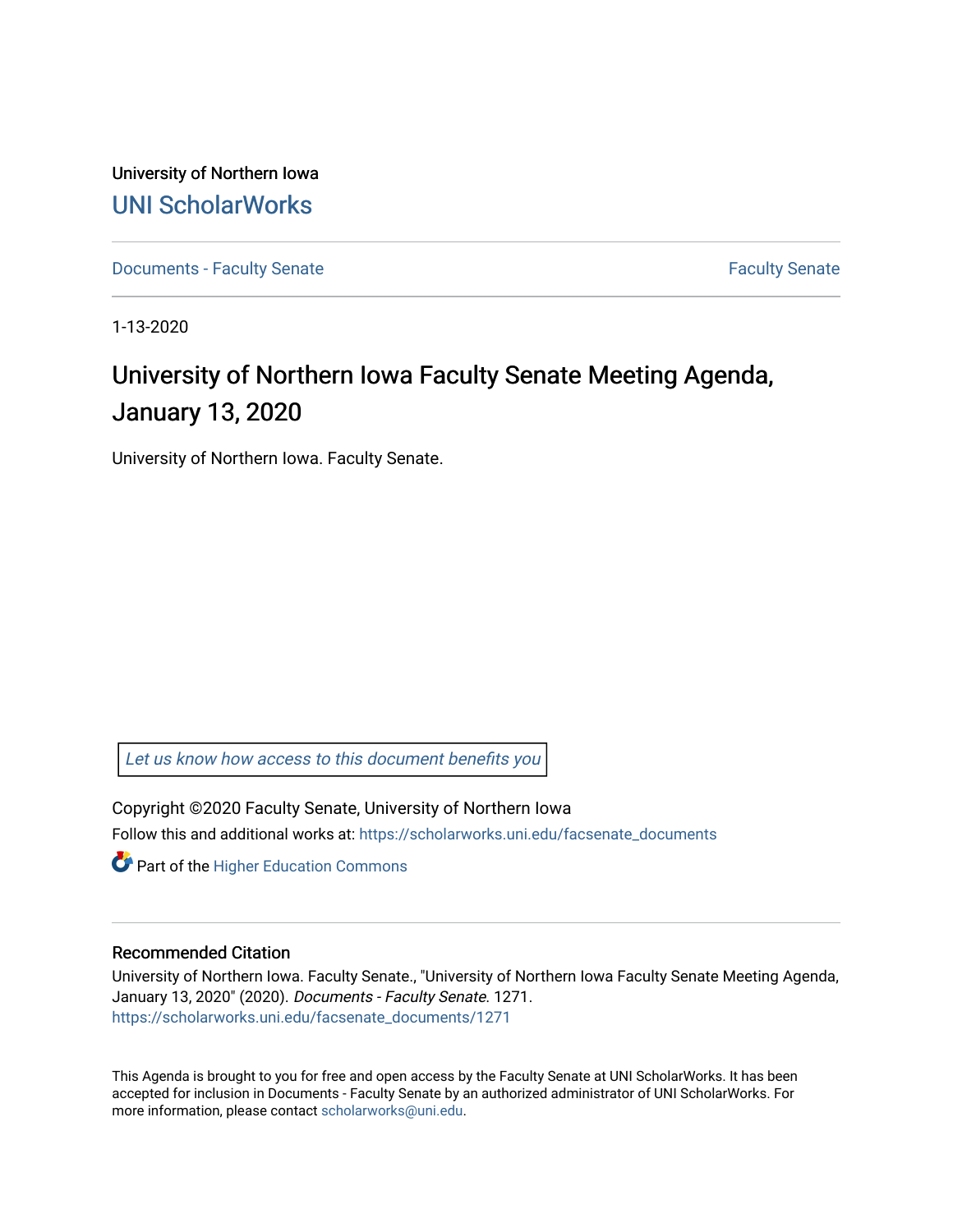University of Northern Iowa [UNI ScholarWorks](https://scholarworks.uni.edu/) 

[Documents - Faculty Senate](https://scholarworks.uni.edu/facsenate_documents) [Faculty Senate](https://scholarworks.uni.edu/facsenate) Faculty Senate

1-13-2020

# University of Northern Iowa Faculty Senate Meeting Agenda, January 13, 2020

University of Northern Iowa. Faculty Senate.

[Let us know how access to this document benefits you](https://scholarworks.uni.edu/feedback_form.html) 

Copyright ©2020 Faculty Senate, University of Northern Iowa Follow this and additional works at: [https://scholarworks.uni.edu/facsenate\\_documents](https://scholarworks.uni.edu/facsenate_documents?utm_source=scholarworks.uni.edu%2Ffacsenate_documents%2F1271&utm_medium=PDF&utm_campaign=PDFCoverPages) 

**Part of the Higher Education Commons** 

#### Recommended Citation

University of Northern Iowa. Faculty Senate., "University of Northern Iowa Faculty Senate Meeting Agenda, January 13, 2020" (2020). Documents - Faculty Senate. 1271. [https://scholarworks.uni.edu/facsenate\\_documents/1271](https://scholarworks.uni.edu/facsenate_documents/1271?utm_source=scholarworks.uni.edu%2Ffacsenate_documents%2F1271&utm_medium=PDF&utm_campaign=PDFCoverPages) 

This Agenda is brought to you for free and open access by the Faculty Senate at UNI ScholarWorks. It has been accepted for inclusion in Documents - Faculty Senate by an authorized administrator of UNI ScholarWorks. For more information, please contact [scholarworks@uni.edu.](mailto:scholarworks@uni.edu)